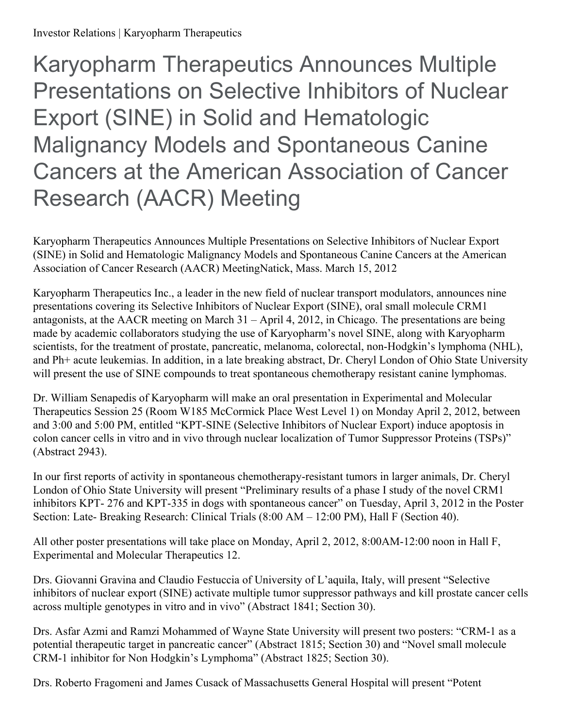Karyopharm Therapeutics Announces Multiple Presentations on Selective Inhibitors of Nuclear Export (SINE) in Solid and Hematologic Malignancy Models and Spontaneous Canine Cancers at the American Association of Cancer Research (AACR) Meeting

Karyopharm Therapeutics Announces Multiple Presentations on Selective Inhibitors of Nuclear Export (SINE) in Solid and Hematologic Malignancy Models and Spontaneous Canine Cancers at the American Association of Cancer Research (AACR) MeetingNatick, Mass. March 15, 2012

Karyopharm Therapeutics Inc., a leader in the new field of nuclear transport modulators, announces nine presentations covering its Selective Inhibitors of Nuclear Export (SINE), oral small molecule CRM1 antagonists, at the AACR meeting on March 31 – April 4, 2012, in Chicago. The presentations are being made by academic collaborators studying the use of Karyopharm's novel SINE, along with Karyopharm scientists, for the treatment of prostate, pancreatic, melanoma, colorectal, non-Hodgkin's lymphoma (NHL), and Ph+ acute leukemias. In addition, in a late breaking abstract, Dr. Cheryl London of Ohio State University will present the use of SINE compounds to treat spontaneous chemotherapy resistant canine lymphomas.

Dr. William Senapedis of Karyopharm will make an oral presentation in Experimental and Molecular Therapeutics Session 25 (Room W185 McCormick Place West Level 1) on Monday April 2, 2012, between and 3:00 and 5:00 PM, entitled "KPT-SINE (Selective Inhibitors of Nuclear Export) induce apoptosis in colon cancer cells in vitro and in vivo through nuclear localization of Tumor Suppressor Proteins (TSPs)" (Abstract 2943).

In our first reports of activity in spontaneous chemotherapy-resistant tumors in larger animals, Dr. Cheryl London of Ohio State University will present "Preliminary results of a phase I study of the novel CRM1 inhibitors KPT- 276 and KPT-335 in dogs with spontaneous cancer" on Tuesday, April 3, 2012 in the Poster Section: Late- Breaking Research: Clinical Trials (8:00 AM – 12:00 PM), Hall F (Section 40).

All other poster presentations will take place on Monday, April 2, 2012, 8:00AM-12:00 noon in Hall F, Experimental and Molecular Therapeutics 12.

Drs. Giovanni Gravina and Claudio Festuccia of University of L'aquila, Italy, will present "Selective inhibitors of nuclear export (SINE) activate multiple tumor suppressor pathways and kill prostate cancer cells across multiple genotypes in vitro and in vivo" (Abstract 1841; Section 30).

Drs. Asfar Azmi and Ramzi Mohammed of Wayne State University will present two posters: "CRM-1 as a potential therapeutic target in pancreatic cancer" (Abstract 1815; Section 30) and "Novel small molecule CRM-1 inhibitor for Non Hodgkin's Lymphoma" (Abstract 1825; Section 30).

Drs. Roberto Fragomeni and James Cusack of Massachusetts General Hospital will present "Potent